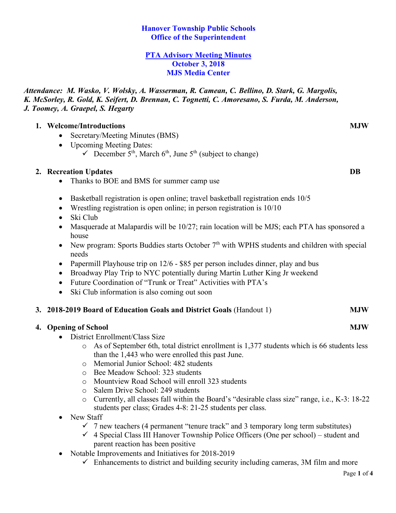# **Hanover Township Public Schools Office of the Superintendent**

#### **PTA Advisory Meeting Minutes October 3, 2018 MJS Media Center**

*Attendance: M. Wasko, V. Wolsky, A. Wasserman, R. Camean, C. Bellino, D. Stark, G. Margolis, K. McSorley, R. Gold, K. Seifert, D. Brennan, C. Tognetti, C. Amoresano, S. Furda, M. Anderson, J. Toomey, A. Graepel, S. Hegarty*

# **1. Welcome/Introductions MJW**

- Secretary/Meeting Minutes (BMS)
- Upcoming Meeting Dates:
	- $\checkmark$  December  $\checkmark$ <sup>th</sup>, March 6<sup>th</sup>, June 5<sup>th</sup> (subject to change)

# **2. Recreation Updates DB**

- Thanks to BOE and BMS for summer camp use
- Basketball registration is open online; travel basketball registration ends  $10/5$
- Wrestling registration is open online; in person registration is  $10/10$
- Ski Club
- Masquerade at Malapardis will be 10/27; rain location will be MJS; each PTA has sponsored a house
- New program: Sports Buddies starts October  $7<sup>th</sup>$  with WPHS students and children with special needs
- Papermill Playhouse trip on 12/6 \$85 per person includes dinner, play and bus
- Broadway Play Trip to NYC potentially during Martin Luther King Jr weekend
- Future Coordination of "Trunk or Treat" Activities with PTA's
- Ski Club information is also coming out soon

# **3. 2018-2019 Board of Education Goals and District Goals** (Handout 1) **MJW**

# **4. Opening of School MJW**

- District Enrollment/Class Size
	- o As of September 6th, total district enrollment is 1,377 students which is 66 students less than the 1,443 who were enrolled this past June.
	- o Memorial Junior School: 482 students
	- o Bee Meadow School: 323 students
	- o Mountview Road School will enroll 323 students
	- o Salem Drive School: 249 students
	- o Currently, all classes fall within the Board's "desirable class size" range, i.e., K-3: 18-22 students per class; Grades 4-8: 21-25 students per class.
- New Staff
	- $\check{\phantom{1}}$  7 new teachers (4 permanent "tenure track" and 3 temporary long term substitutes)
	- $\checkmark$  4 Special Class III Hanover Township Police Officers (One per school) student and parent reaction has been positive
- Notable Improvements and Initiatives for 2018-2019
	- $\checkmark$  Enhancements to district and building security including cameras, 3M film and more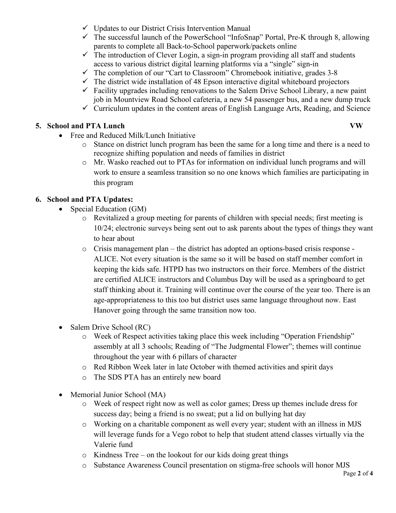- $\checkmark$  Updates to our District Crisis Intervention Manual
- $\checkmark$  The successful launch of the PowerSchool "InfoSnap" Portal, Pre-K through 8, allowing parents to complete all Back-to-School paperwork/packets online
- $\checkmark$  The introduction of Clever Login, a sign-in program providing all staff and students access to various district digital learning platforms via a "single" sign-in
- $\checkmark$  The completion of our "Cart to Classroom" Chromebook initiative, grades 3-8
- $\checkmark$  The district wide installation of 48 Epson interactive digital whiteboard projectors
- $\checkmark$  Facility upgrades including renovations to the Salem Drive School Library, a new paint job in Mountview Road School cafeteria, a new 54 passenger bus, and a new dump truck
- $\checkmark$  Curriculum updates in the content areas of English Language Arts, Reading, and Science

# **5. School and PTA Lunch VW**

- Free and Reduced Milk/Lunch Initiative
	- o Stance on district lunch program has been the same for a long time and there is a need to recognize shifting population and needs of families in district
	- o Mr. Wasko reached out to PTAs for information on individual lunch programs and will work to ensure a seamless transition so no one knows which families are participating in this program

# **6. School and PTA Updates:**

- Special Education (GM)
	- o Revitalized a group meeting for parents of children with special needs; first meeting is 10/24; electronic surveys being sent out to ask parents about the types of things they want to hear about
	- o Crisis management plan the district has adopted an options-based crisis response ALICE. Not every situation is the same so it will be based on staff member comfort in keeping the kids safe. HTPD has two instructors on their force. Members of the district are certified ALICE instructors and Columbus Day will be used as a springboard to get staff thinking about it. Training will continue over the course of the year too. There is an age-appropriateness to this too but district uses same language throughout now. East Hanover going through the same transition now too.
- Salem Drive School (RC)
	- o Week of Respect activities taking place this week including "Operation Friendship" assembly at all 3 schools; Reading of "The Judgmental Flower"; themes will continue throughout the year with 6 pillars of character
	- o Red Ribbon Week later in late October with themed activities and spirit days
	- o The SDS PTA has an entirely new board
- Memorial Junior School (MA)
	- o Week of respect right now as well as color games; Dress up themes include dress for success day; being a friend is no sweat; put a lid on bullying hat day
	- o Working on a charitable component as well every year; student with an illness in MJS will leverage funds for a Vego robot to help that student attend classes virtually via the Valerie fund
	- o Kindness Tree on the lookout for our kids doing great things
	- o Substance Awareness Council presentation on stigma-free schools will honor MJS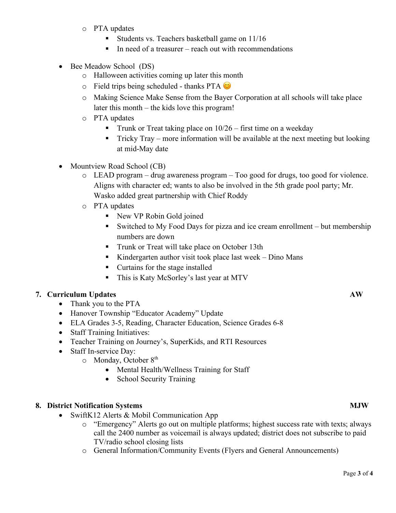- o PTA updates
	- Students vs. Teachers basketball game on 11/16
	- In need of a treasurer reach out with recommendations
- Bee Meadow School (DS)
	- o Halloween activities coming up later this month
	- $\circ$  Field trips being scheduled thanks PTA  $\circ$
	- o Making Science Make Sense from the Bayer Corporation at all schools will take place later this month – the kids love this program!
	- o PTA updates
		- **•** Trunk or Treat taking place on  $10/26$  first time on a weekday
		- § Tricky Tray more information will be available at the next meeting but looking at mid-May date
- Mountview Road School (CB)
	- o LEAD program drug awareness program Too good for drugs, too good for violence. Aligns with character ed; wants to also be involved in the 5th grade pool party; Mr. Wasko added great partnership with Chief Roddy
	- o PTA updates
		- New VP Robin Gold joined
		- Switched to My Food Days for pizza and ice cream enrollment but membership numbers are down
		- Trunk or Treat will take place on October 13th
		- Kindergarten author visit took place last week Dino Mans
		- Curtains for the stage installed
		- This is Katy McSorley's last year at MTV

# **7. Curriculum Updates AW**

- Thank you to the PTA
- Hanover Township "Educator Academy" Update
- ELA Grades 3-5, Reading, Character Education, Science Grades 6-8
- Staff Training Initiatives:
- Teacher Training on Journey's, SuperKids, and RTI Resources
- Staff In-service Day:
	- $\circ$  Monday, October 8<sup>th</sup>
		- Mental Health/Wellness Training for Staff
		- School Security Training

# **8. District Notification Systems MJW**

- SwiftK12 Alerts & Mobil Communication App
	- o "Emergency" Alerts go out on multiple platforms; highest success rate with texts; always call the 2400 number as voicemail is always updated; district does not subscribe to paid TV/radio school closing lists
	- o General Information/Community Events (Flyers and General Announcements)